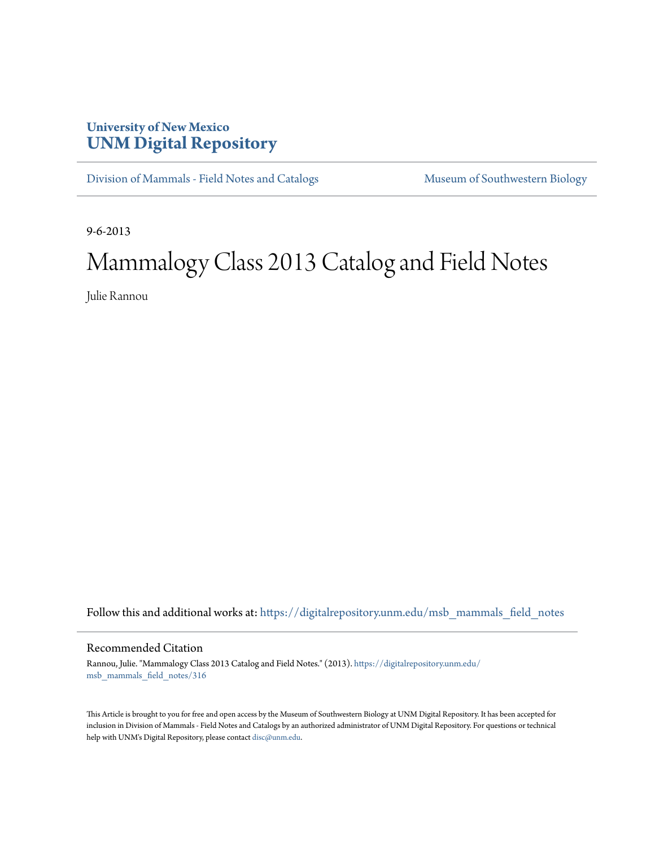## **University of New Mexico [UNM Digital Repository](https://digitalrepository.unm.edu?utm_source=digitalrepository.unm.edu%2Fmsb_mammals_field_notes%2F316&utm_medium=PDF&utm_campaign=PDFCoverPages)**

[Division of Mammals - Field Notes and Catalogs](https://digitalrepository.unm.edu/msb_mammals_field_notes?utm_source=digitalrepository.unm.edu%2Fmsb_mammals_field_notes%2F316&utm_medium=PDF&utm_campaign=PDFCoverPages) [Museum of Southwestern Biology](https://digitalrepository.unm.edu/msb?utm_source=digitalrepository.unm.edu%2Fmsb_mammals_field_notes%2F316&utm_medium=PDF&utm_campaign=PDFCoverPages)

9-6-2013

## Mammalogy Class 2013 Catalog and Field Notes

Julie Rannou

Follow this and additional works at: [https://digitalrepository.unm.edu/msb\\_mammals\\_field\\_notes](https://digitalrepository.unm.edu/msb_mammals_field_notes?utm_source=digitalrepository.unm.edu%2Fmsb_mammals_field_notes%2F316&utm_medium=PDF&utm_campaign=PDFCoverPages)

## Recommended Citation

Rannou, Julie. "Mammalogy Class 2013 Catalog and Field Notes." (2013). [https://digitalrepository.unm.edu/](https://digitalrepository.unm.edu/msb_mammals_field_notes/316?utm_source=digitalrepository.unm.edu%2Fmsb_mammals_field_notes%2F316&utm_medium=PDF&utm_campaign=PDFCoverPages) [msb\\_mammals\\_field\\_notes/316](https://digitalrepository.unm.edu/msb_mammals_field_notes/316?utm_source=digitalrepository.unm.edu%2Fmsb_mammals_field_notes%2F316&utm_medium=PDF&utm_campaign=PDFCoverPages)

This Article is brought to you for free and open access by the Museum of Southwestern Biology at UNM Digital Repository. It has been accepted for inclusion in Division of Mammals - Field Notes and Catalogs by an authorized administrator of UNM Digital Repository. For questions or technical help with UNM's Digital Repository, please contact [disc@unm.edu](mailto:disc@unm.edu).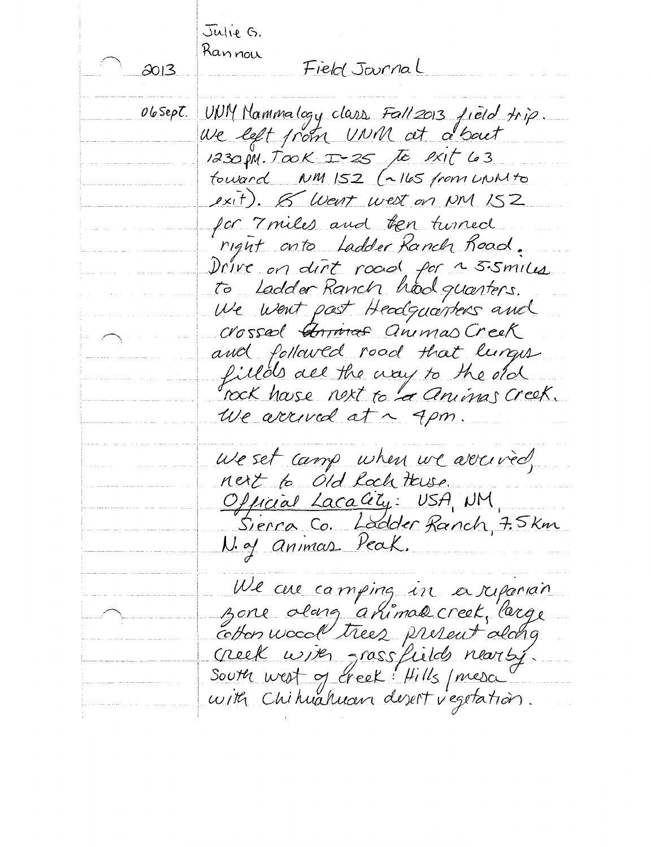Julie G. Rannou Field Journal  $2013$ UNIM Nammalogy class Fall 2013 field trip. 06Sept. We left from UNM at a bout 1230 PM. TOOK I-25 to exit 63 fouand NM 152 (~165 from UNNto exit).  $8$  Went west on NM 152 for 7 miles and ten turned right anto Ladder Ranch Road. Drive on dirt road for a 5.5 miles to Ladder Ranch hood quarters. We went past Headquarters and crossed Animas animas Creek and followed road that lunges filled all the way to the old rock hase next to a animas creek. We arrived at ~ 4pm. We set camp when we arrived, nest to old lock these. Official Lacality: USA, NM<br>Sierra Co. Ladder Ranch, 7.5 km N. of animas Peak. We are camping in a reparain zone olang ahimak creek, large cotten wood trees present along<br>Greek with grassfields nearty.<br>South west of creek: Hills present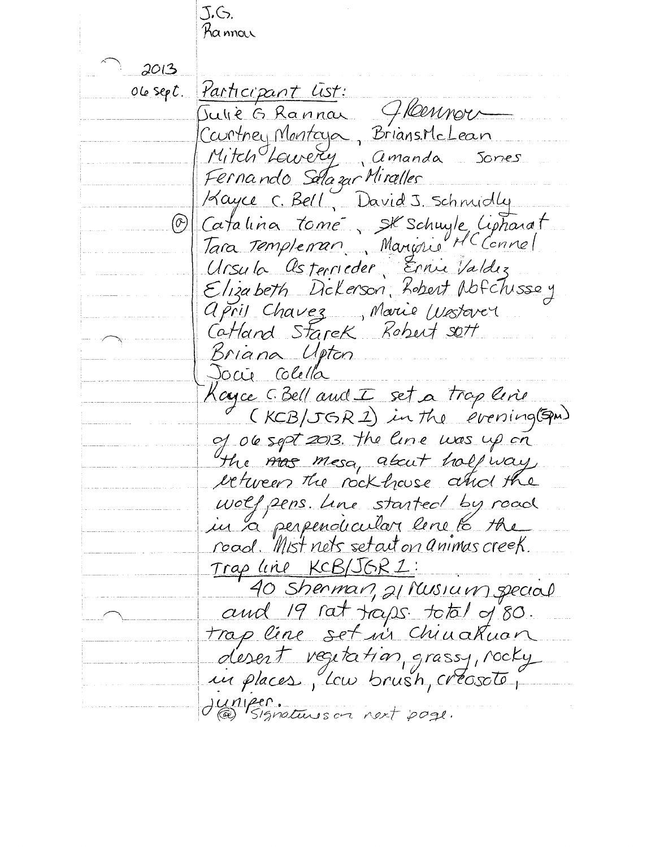J.G. Ra nnow  $2013$ Participant List:  $O$  le  $sep$ <sup>t</sup>. Julie G Rannar Glennor<br>Courtney Martoya, BriansMolean Mitch Lavery amanda Sorres Fernando Salazar Miralles Kayce C. Bell, David J. Schnidly Catalina tomé, SK Schuyle, Lipharat  $(\widehat{\infty})$ Tara Templeman Marionie MC Connel Ursula Osterrieder Ernie Valdez Elizabeth Dickerson, Lobert Nofchissey april Chavez, Marie Westerer Catland Starek Robert sett Briana Upton Jocie Colella Kayce G. Bell and I set a trop line<br>(KCB/JGR1) in the evening (SPM) of 06 sept 2013. The line was up on the mas mesa, about holf way etween the rockhause and the wolf pens. Une started by road in a perpendicular lene la the road. Wist nets setait on animas creek. <u>Trap line KCB/JGRZ:</u> 40 Sherman, 21 Musium special and 19 rat traps. to tal of 80. trap line set in Chinakuan desert regitation, grassy, rocky<br>in places, Icw brush, créosote, JUMPER.<br>(@) Signatures on next page.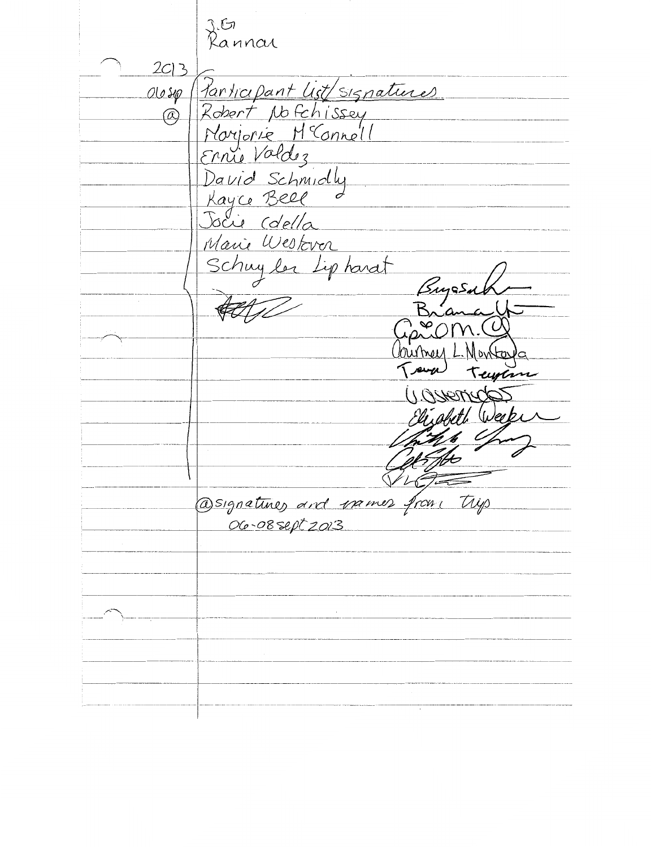ziton<br>Rannai  $2C$  $3$ <u>Participant list/signatures</u>  $00s\varphi$ Robert Nofchissey  $\overline{(\alpha)}$ Norjorie McConnell Ernie Valdez David Schmidly Kayce Bell<br>Jocie Colella Marie Westever Schuy ler Lipharat Sugas **CAESTAC** @signatures and rames from tryp .<br>06-08 sept 2013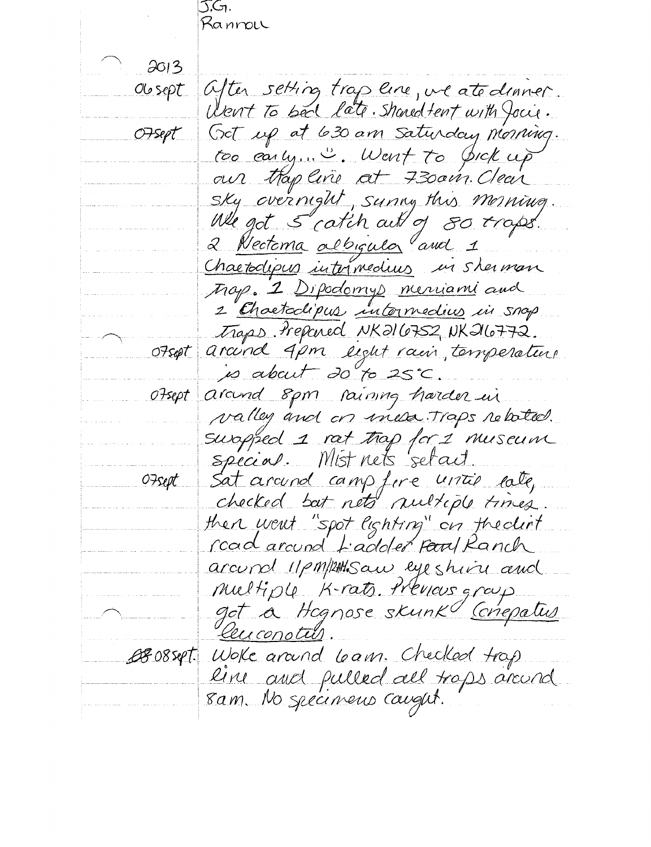J.G1. Rannou  $2013$ Obsept after setting trap are, we atedinner. Went to bed late. Showed fent with Jocie. Got up at 630 am saturday morning. OFsept too carly... ". Went to pick up air thap line at 730ain. Clear Sky overnight, sunny this morning We got 5 catch out of 80 traps. 2 Nectoma albigula and 1 Chaetodipus internedius in sherman Map. 2 Dipodomys merciani and 2 Chaetaclipus intermedius in snap. Traps Prepered NK216752, NK216772. Otsept arcund 4pm light rain, temperature is about 20 to 25°C around spm raining harder un  $0.7$ sept valley and on mesa Traps related. suropped 1 rat trap for 1 museum special. Mist nets 'setait. Sat around campfere until late, O7sept checked but nets nultiple times. then went "spot lighting" on theolint <u>road around Ladder Foul Ranch</u> arcund 11 pm/1244. Saw eye shiru and multiple K-rats. Previous group got a Hognose skunk Conepatus Leuconotu BEO8set. Woke around learn. Checked trap line and pulled all traps around 8 a.m. No spéciment caught.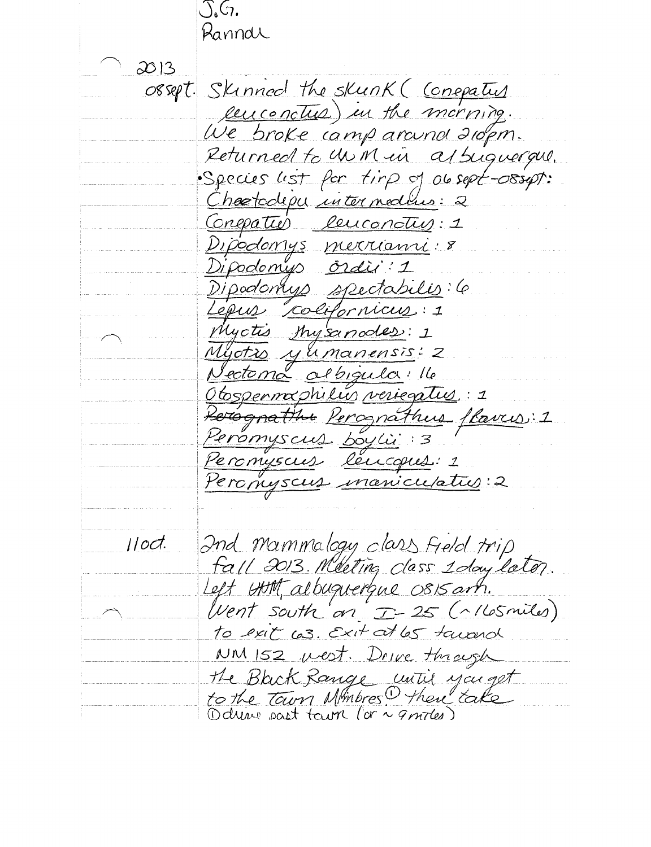J.G. Ranndl  $2013$ orsept. Skinned the skunk (Conepatus euconctus) in the morning. We broke camp around aropm. Returned to un M in a 1 suguerque. · Species list for tirp of obsept-08syst: Chartoclepu intermedius: 2 Conepation leuconotry: 1 Dipodomys merrianni: 8 Dipodomys ordin: 1 Dipodomys spectabilis: 6 Lépus colifornicus: 1 Myctis Mysanodes: 1 Myotro yumanensis: 2 <u>Nectoma albigula: Ile</u> <u> Obspermaphilus veriegatus</u>: 1 Rerégnathu Perognathus flavus: 1 Peromyscus leucques: 1 Perophyscus maniculativ.2 Ind Mammalogy class field trip<br>fall 2013 Meeting class 1 day later.  $11$ od Left Utt albuquerque OSIS art. Went south an I-25 (~ 165 miles) to exit cos. Exit at los tourned NM 152 west. Drive through the Black Range until you get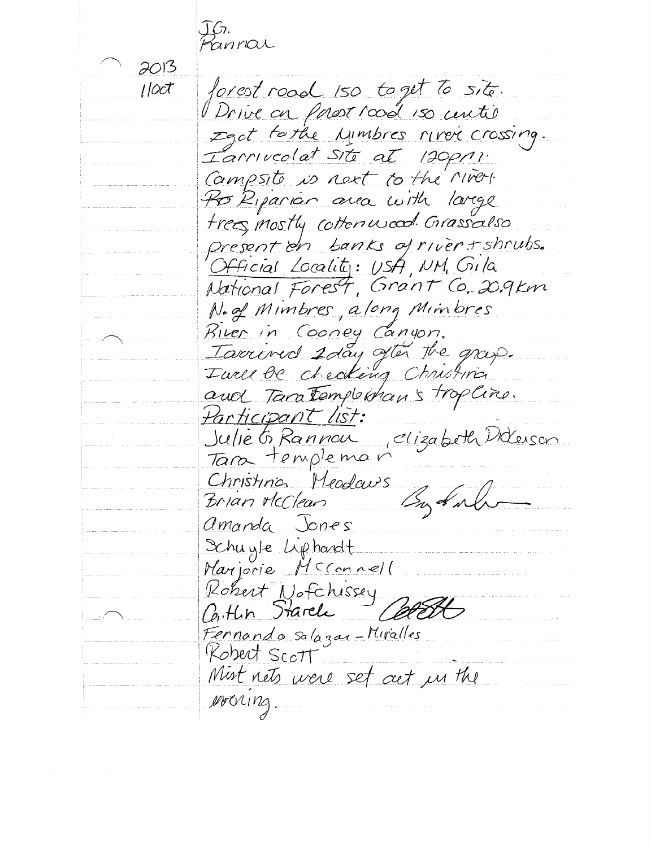JG,<br>Pannai 2013 forest road 150 to get to site. l loct Drive on passe road 150 centie Iget forthe Lymbres river crossing.<br>Iarnucolat site at 120pm: Campsito is not to the Miros. Po Riparian area with large trees mostly cottonwood Grassalso present on banks of river + shrubs. Official Locality: USA, NM, Gila National Forest, Grant Co. 20.9 km N. of Mimbres, along Mimbres River in Cooney Canyon. Iarrived 2 day often the grap. and Tara Templekhan's tropline. Participant list: Julie G Rannou clizabeth Dideuson Tara templeman Christinos Meodours<br>Brian McClean Superint amanda Jones Schuyle Liphardt Marjorie McConnell Rohert Nofchissey<br>Carthin Starele Fernando salazar-Miralles<br>Robert Scott Mist nets were set out in the MOCKING.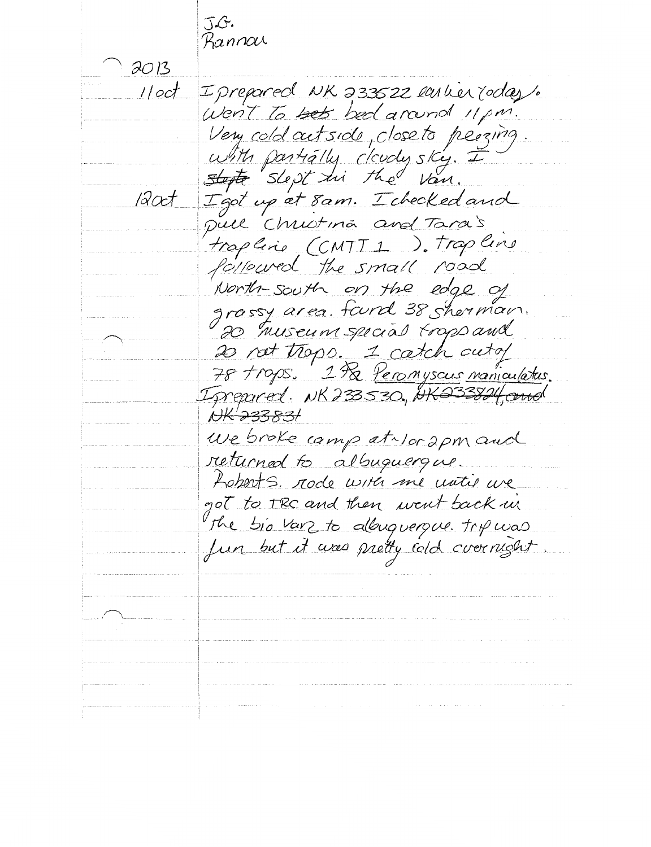J.G.<br>Bannou  $2013$ Iprepared NK 233522 ember rodas.  $1 / cot$ Went to bets bed around 11 pm. Very cold outside, close to peeging. with partially cloudy sky. I  $12$ oct Igot up at 8 am. I checked and pull Christina and Tara's trapline CCMTT1 ). Trapline followed the small road North-south on the edge of grassy area. found 38 sherman. 20 Truseum special trops and 20 not trops. 1 catch outof Igrepored. NK233530, NK233824, and NK-233831 We broke camp at Nor 2pm and returned to albuguergue. Loberts, rode with me water we got to TRC and then went back in The bio var to allouguerque. Trip was fun but it was pretty cold overnight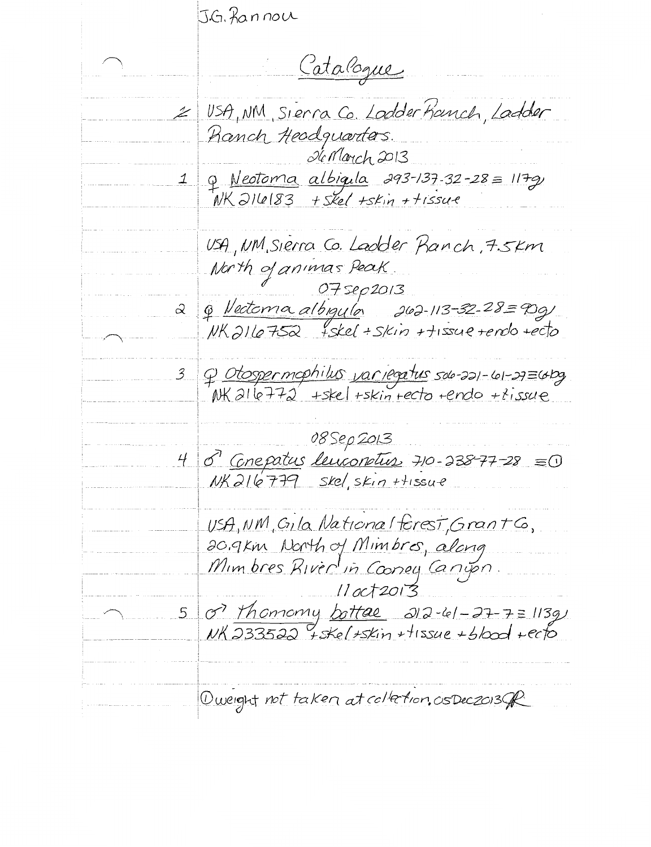J.G. fannou Catalogue USA, NM, Sierra Co. Lodder Franch, Ladder Ranch Headquarters. Sc March 2013  $\begin{array}{c|cc} \text{1} & \text{p} & \text{Neotoma} & \text{albigala} & \text{293-137-32-28} \equiv & \text{117-9} \\ \text{N1} & \text{N1} & \text{N1} & \text{N1} & \text{N2} \\ \text{N2} & \text{N1} & \text{N2} & \text{N2} & \text{N2} \\ \end{array}$ USA, NM, Sierra Co. Ladder Panch, 7.5Km North of animas Peak. 075ep2013 <u>& Vectoma albigula</u> 262-113-52-28=90g)<br>NK2116752 +skel + skin + tissue tendo tecto  $\hat{\alpha}$  $3$ 08 Sep 2013  $40 - 338 - 77 - 28 = 0$  $NK$ 216779 Skel SKin + + issue USA, NM, Gila National forest, Grant Co, 20.9km North of Mimbros, along Mimbres River in Cooney Canyon  $11 oct2013$ or thomomy bottal 212-61-27-7=113g  $5<sup>1</sup>$  $\nu$ K 233522 + skel + skin + tissue + blood + ecto Queight not taken at collection, os Dec 2013 PR